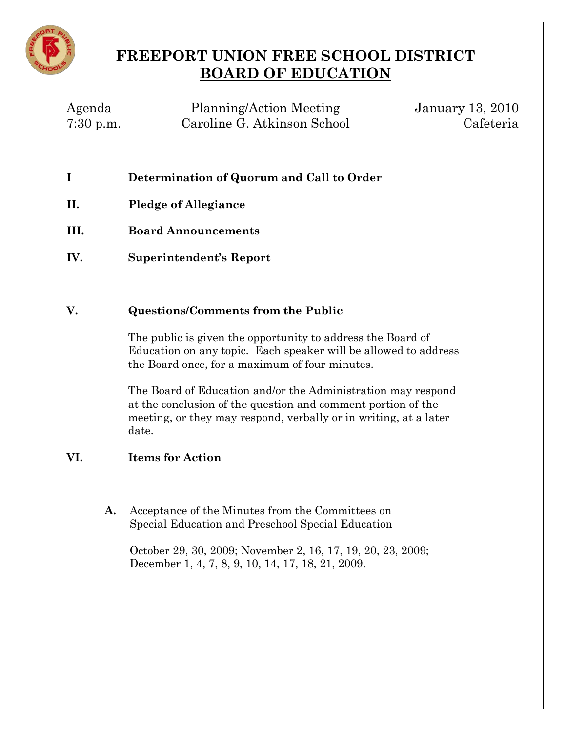

# **FREEPORT UNION FREE SCHOOL DISTRICT BOARD OF EDUCATION**

| Agenda      | Planning/Action Meeting     | <b>January 13, 2010</b> |
|-------------|-----------------------------|-------------------------|
| $7:30$ p.m. | Caroline G. Atkinson School | Cafeteria               |

- **I Determination of Quorum and Call to Order**
- **II. Pledge of Allegiance**
- **III. Board Announcements**
- **IV. Superintendent's Report**

## **V. Questions/Comments from the Public**

The public is given the opportunity to address the Board of Education on any topic. Each speaker will be allowed to address the Board once, for a maximum of four minutes.

The Board of Education and/or the Administration may respond at the conclusion of the question and comment portion of the meeting, or they may respond, verbally or in writing, at a later date.

# **VI. Items for Action**

**A.** Acceptance of the Minutes from the Committees on Special Education and Preschool Special Education

October 29, 30, 2009; November 2, 16, 17, 19, 20, 23, 2009; December 1, 4, 7, 8, 9, 10, 14, 17, 18, 21, 2009.